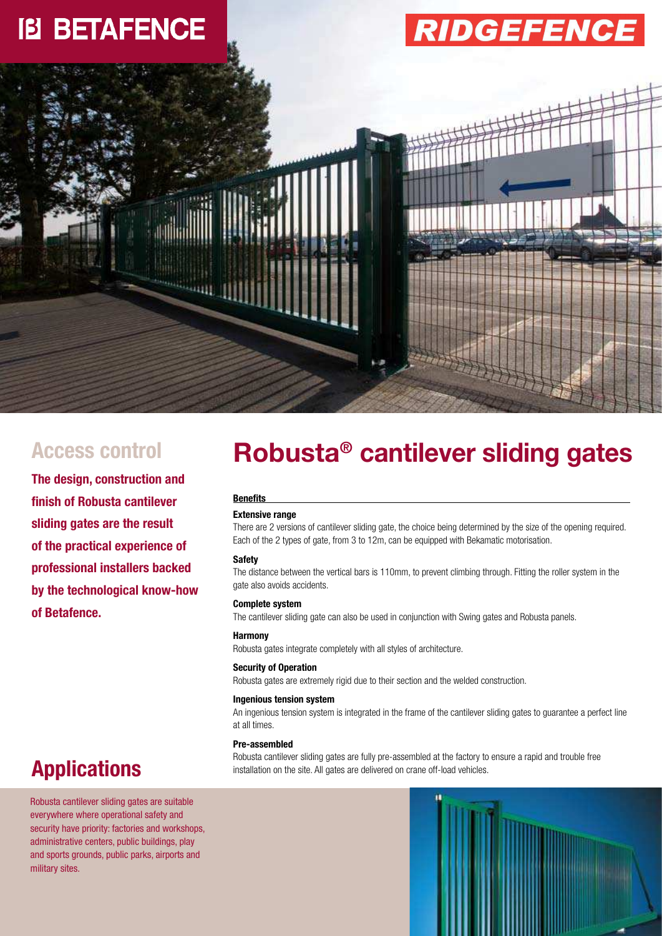

**The design, construction and finish of Robusta cantilever sliding gates are the result of the practical experience of professional installers backed by the technological know-how of Betafence.**

## **Robusta® Access control cantilever sliding gates**

#### **Benefits**

#### **Extensive range**

There are 2 versions of cantilever sliding gate, the choice being determined by the size of the opening required. Each of the 2 types of gate, from 3 to 12m, can be equipped with Bekamatic motorisation.

#### **Safety**

The distance between the vertical bars is 110mm, to prevent climbing through. Fitting the roller system in the gate also avoids accidents.

#### **Complete system**

The cantilever sliding gate can also be used in conjunction with Swing gates and Robusta panels.

#### **Harmony**

Robusta gates integrate completely with all styles of architecture.

#### **Security of Operation**

Robusta gates are extremely rigid due to their section and the welded construction.

#### **Ingenious tension system**

An ingenious tension system is integrated in the frame of the cantilever sliding gates to guarantee a perfect line at all times.

#### **Pre-assembled**

Robusta cantilever sliding gates are fully pre-assembled at the factory to ensure a rapid and trouble free installation on the site. All gates are delivered on crane off-load vehicles.

### **Applications**

Robusta cantilever sliding gates are suitable everywhere where operational safety and security have priority: factories and workshops, administrative centers, public buildings, play and sports grounds, public parks, airports and military sites.

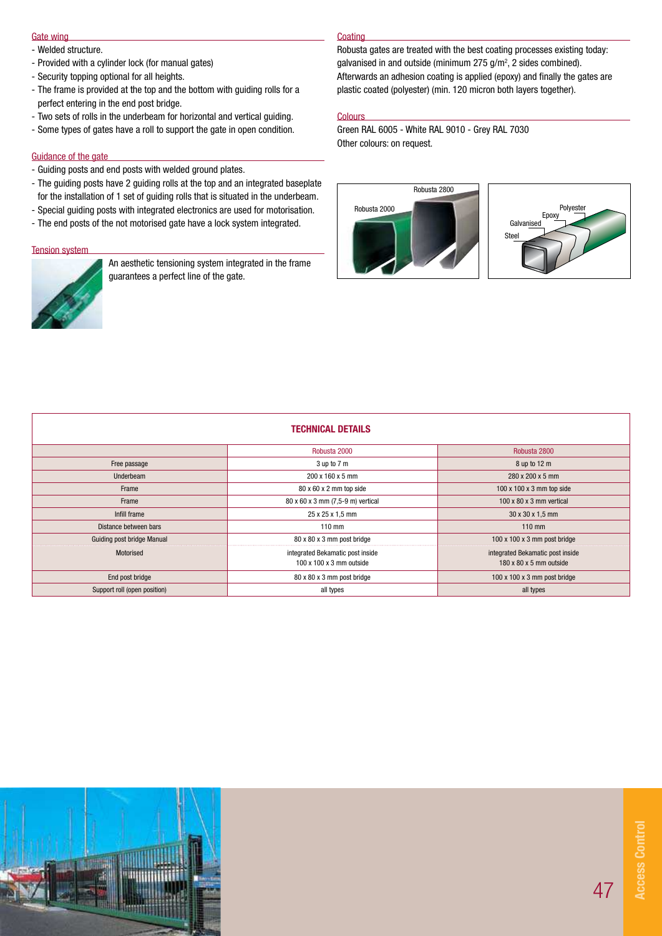#### Gate wing

- Welded structure.
- Provided with a cylinder lock (for manual gates)
- Security topping optional for all heights.
- The frame is provided at the top and the bottom with guiding rolls for a perfect entering in the end post bridge.
- Two sets of rolls in the underbeam for horizontal and vertical guiding.
- Some types of gates have a roll to support the gate in open condition.

#### Guidance of the gate

- Guiding posts and end posts with welded ground plates.
- The guiding posts have 2 guiding rolls at the top and an integrated baseplate for the installation of 1 set of guiding rolls that is situated in the underbeam.
- Special guiding posts with integrated electronics are used for motorisation. - The end posts of the not motorised gate have a lock system integrated.

### Tension system



An aesthetic tensioning system integrated in the frame guarantees a perfect line of the gate.

#### **Coating**

Robusta gates are treated with the best coating processes existing today: galvanised in and outside (minimum  $275$  g/m<sup>2</sup>, 2 sides combined). Afterwards an adhesion coating is applied (epoxy) and finally the gates are plastic coated (polyester) (min. 120 micron both layers together).

#### **Colours**

Green RAL 6005 - White RAL 9010 - Grey RAL 7030 Other colours: on request.





| <b>TECHNICAL DETAILS</b>     |                                                                          |                                                                         |  |  |  |  |
|------------------------------|--------------------------------------------------------------------------|-------------------------------------------------------------------------|--|--|--|--|
|                              | Robusta 2000                                                             | Robusta 2800                                                            |  |  |  |  |
| Free passage                 | 3 up to 7 m                                                              | 8 up to 12 m                                                            |  |  |  |  |
| <b>Underbeam</b>             | 200 x 160 x 5 mm                                                         | 280 x 200 x 5 mm                                                        |  |  |  |  |
| Frame                        | 80 x 60 x 2 mm top side                                                  | $100 \times 100 \times 3$ mm top side                                   |  |  |  |  |
| Frame                        | 80 x 60 x 3 mm (7,5-9 m) vertical                                        | $100 \times 80 \times 3$ mm vertical                                    |  |  |  |  |
| Infill frame                 | 25 x 25 x 1,5 mm                                                         | 30 x 30 x 1,5 mm                                                        |  |  |  |  |
| Distance between bars        | $110$ mm                                                                 | $110$ mm                                                                |  |  |  |  |
| Guiding post bridge Manual   | 80 x 80 x 3 mm post bridge                                               | $100 \times 100 \times 3$ mm post bridge                                |  |  |  |  |
| Motorised                    | integrated Bekamatic post inside<br>$100 \times 100 \times 3$ mm outside | integrated Bekamatic post inside<br>$180 \times 80 \times 5$ mm outside |  |  |  |  |
| End post bridge              | 80 x 80 x 3 mm post bridge                                               | $100 \times 100 \times 3$ mm post bridge                                |  |  |  |  |
| Support roll (open position) | all types                                                                | all types                                                               |  |  |  |  |

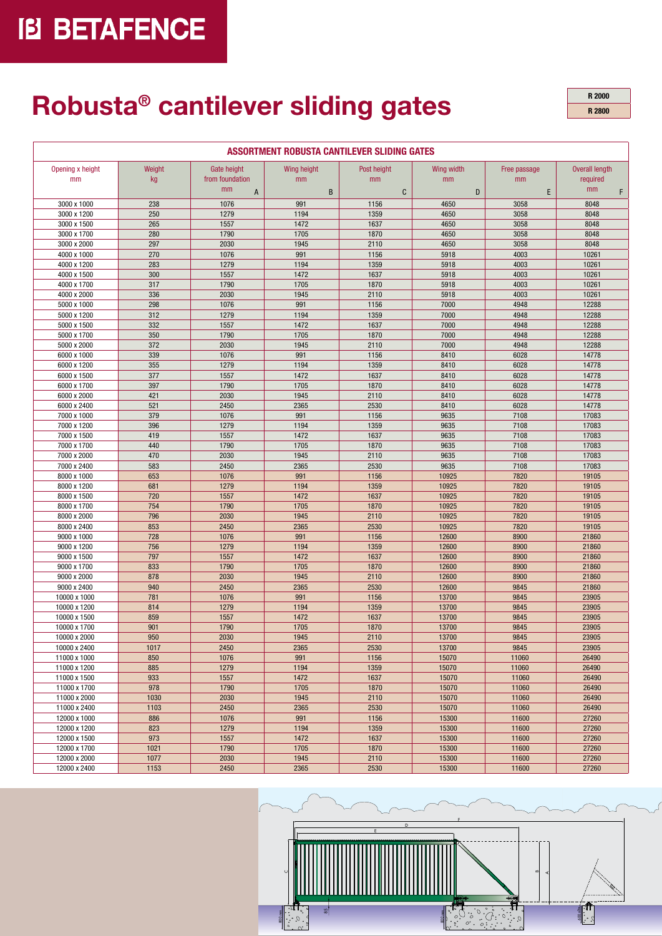# **IB BETAFENCE**

## **Robusta® cantilever sliding gates**

**R 2000 R 2800**

| ASSORTMENT ROBUSTA CANTILEVER SLIDING GATES |              |                                      |                   |                   |                  |                    |                                         |  |  |
|---------------------------------------------|--------------|--------------------------------------|-------------------|-------------------|------------------|--------------------|-----------------------------------------|--|--|
| Opening x height<br>mm                      | Weight<br>kg | Gate height<br>from foundation<br>mm | Wing height<br>mm | Post height<br>mm | Wing width<br>mm | Free passage<br>mm | <b>Overall length</b><br>required<br>mm |  |  |
|                                             |              | $\mathsf{A}$                         | B                 | C                 | D                | E                  | F                                       |  |  |
| 3000 x 1000                                 | 238          | 1076                                 | 991               | 1156              | 4650             | 3058               | 8048                                    |  |  |
| 3000 x 1200                                 | 250          | 1279                                 | 1194              | 1359              | 4650             | 3058               | 8048                                    |  |  |
| 3000 x 1500                                 | 265          | 1557                                 | 1472              | 1637              | 4650             | 3058               | 8048                                    |  |  |
| 3000 x 1700                                 | 280<br>297   | 1790<br>2030                         | 1705<br>1945      | 1870<br>2110      | 4650<br>4650     | 3058<br>3058       | 8048<br>8048                            |  |  |
| 3000 x 2000<br>4000 x 1000                  | 270          | 1076                                 | 991               | 1156              | 5918             | 4003               | 10261                                   |  |  |
| 4000 x 1200                                 | 283          | 1279                                 | 1194              | 1359              | 5918             | 4003               | 10261                                   |  |  |
| 4000 x 1500                                 | 300          | 1557                                 | 1472              | 1637              | 5918             | 4003               | 10261                                   |  |  |
| 4000 x 1700                                 | 317          | 1790                                 | 1705              | 1870              | 5918             | 4003               | 10261                                   |  |  |
| 4000 x 2000                                 | 336          | 2030                                 | 1945              | 2110              | 5918             | 4003               | 10261                                   |  |  |
| 5000 x 1000                                 | 298          | 1076                                 | 991               | 1156              | 7000             | 4948               | 12288                                   |  |  |
| 5000 x 1200                                 | 312          | 1279                                 | 1194              | 1359              | 7000             | 4948               | 12288                                   |  |  |
| 5000 x 1500                                 | 332          | 1557                                 | 1472              | 1637              | 7000             | 4948               | 12288                                   |  |  |
| 5000 x 1700                                 | 350          | 1790                                 | 1705              | 1870              | 7000             | 4948               | 12288                                   |  |  |
| 5000 x 2000                                 | 372          | 2030                                 | 1945              | 2110              | 7000             | 4948               | 12288                                   |  |  |
| 6000 x 1000                                 | 339          | 1076                                 | 991               | 1156              | 8410             | 6028               | 14778                                   |  |  |
| 6000 x 1200                                 | 355          | 1279                                 | 1194              | 1359              | 8410             | 6028               | 14778                                   |  |  |
| 6000 x 1500                                 | 377          | 1557                                 | 1472              | 1637              | 8410             | 6028               | 14778                                   |  |  |
| 6000 x 1700                                 | 397          | 1790                                 | 1705              | 1870              | 8410             | 6028               | 14778                                   |  |  |
| 6000 x 2000                                 | 421          | 2030                                 | 1945              | 2110              | 8410             | 6028               | 14778                                   |  |  |
| 6000 x 2400                                 | 521          | 2450                                 | 2365              | 2530              | 8410             | 6028               | 14778                                   |  |  |
| 7000 x 1000                                 | 379          | 1076                                 | 991               | 1156              | 9635             | 7108               | 17083                                   |  |  |
| 7000 x 1200                                 | 396          | 1279                                 | 1194              | 1359              | 9635             | 7108               | 17083                                   |  |  |
| 7000 x 1500                                 | 419          | 1557                                 | 1472              | 1637              | 9635             | 7108               | 17083                                   |  |  |
| 7000 x 1700                                 | 440          | 1790                                 | 1705              | 1870              | 9635             | 7108               | 17083                                   |  |  |
| 7000 x 2000                                 | 470          | 2030                                 | 1945              | 2110              | 9635             | 7108               | 17083                                   |  |  |
| 7000 x 2400                                 | 583          | 2450                                 | 2365              | 2530              | 9635             | 7108               | 17083                                   |  |  |
| 8000 x 1000                                 | 653          | 1076                                 | 991               | 1156              | 10925            | 7820               | 19105                                   |  |  |
| 8000 x 1200                                 | 681          | 1279                                 | 1194              | 1359              | 10925            | 7820               | 19105                                   |  |  |
| 8000 x 1500                                 | 720          | 1557                                 | 1472              | 1637              | 10925            | 7820               | 19105                                   |  |  |
| 8000 x 1700                                 | 754          | 1790                                 | 1705<br>1945      | 1870              | 10925            | 7820<br>7820       | 19105                                   |  |  |
| 8000 x 2000<br>8000 x 2400                  | 796<br>853   | 2030<br>2450                         | 2365              | 2110<br>2530      | 10925<br>10925   | 7820               | 19105<br>19105                          |  |  |
| 9000 x 1000                                 | 728          | 1076                                 | 991               | 1156              | 12600            | 8900               | 21860                                   |  |  |
| 9000 x 1200                                 | 756          | 1279                                 | 1194              | 1359              | 12600            | 8900               | 21860                                   |  |  |
| 9000 x 1500                                 | 797          | 1557                                 | 1472              | 1637              | 12600            | 8900               | 21860                                   |  |  |
| 9000 x 1700                                 | 833          | 1790                                 | 1705              | 1870              | 12600            | 8900               | 21860                                   |  |  |
| 9000 x 2000                                 | 878          | 2030                                 | 1945              | 2110              | 12600            | 8900               | 21860                                   |  |  |
| 9000 x 2400                                 | 940          | 2450                                 | 2365              | 2530              | 12600            | 9845               | 21860                                   |  |  |
| 10000 x 1000                                | 781          | 1076                                 | 991               | 1156              | 13700            | 9845               | 23905                                   |  |  |
| 10000 x 1200                                | 814          | 1279                                 | 1194              | 1359              | 13700            | 9845               | 23905                                   |  |  |
| 10000 x 1500                                | 859          | 1557                                 | 1472              | 1637              | 13700            | 9845               | 23905                                   |  |  |
| 10000 x 1700                                | 901          | 1790                                 | 1705              | 1870              | 13700            | 9845               | 23905                                   |  |  |
| 10000 x 2000                                | 950          | 2030                                 | 1945              | 2110              | 13700            | 9845               | 23905                                   |  |  |
| 10000 x 2400                                | 1017         | 2450                                 | 2365              | 2530              | 13700            | 9845               | 23905                                   |  |  |
| 11000 x 1000                                | 850          | 1076                                 | 991               | 1156              | 15070            | 11060              | 26490                                   |  |  |
| 11000 x 1200                                | 885          | 1279                                 | 1194              | 1359              | 15070            | 11060              | 26490                                   |  |  |
| 11000 x 1500                                | 933          | 1557                                 | 1472              | 1637              | 15070            | 11060              | 26490                                   |  |  |
| 11000 x 1700                                | 978          | 1790                                 | 1705              | 1870              | 15070            | 11060              | 26490                                   |  |  |
| 11000 x 2000                                | 1030         | 2030                                 | 1945              | 2110              | 15070            | 11060              | 26490                                   |  |  |
| 11000 x 2400                                | 1103         | 2450                                 | 2365              | 2530              | 15070            | 11060              | 26490                                   |  |  |
| 12000 x 1000                                | 886          | 1076                                 | 991               | 1156              | 15300            | 11600              | 27260                                   |  |  |
| 12000 x 1200                                | 823          | 1279                                 | 1194              | 1359              | 15300            | 11600              | 27260                                   |  |  |
| 12000 x 1500                                | 973          | 1557                                 | 1472              | 1637              | 15300            | 11600              | 27260                                   |  |  |
| 12000 x 1700                                | 1021         | 1790                                 | 1705              | 1870              | 15300            | 11600              | 27260                                   |  |  |
| 12000 x 2000                                | 1077         | 2030                                 | 1945              | 2110              | 15300            | 11600              | 27260                                   |  |  |
| 12000 x 2400                                | 1153         | 2450                                 | 2365              | 2530              | 15300            | 11600              | 27260                                   |  |  |